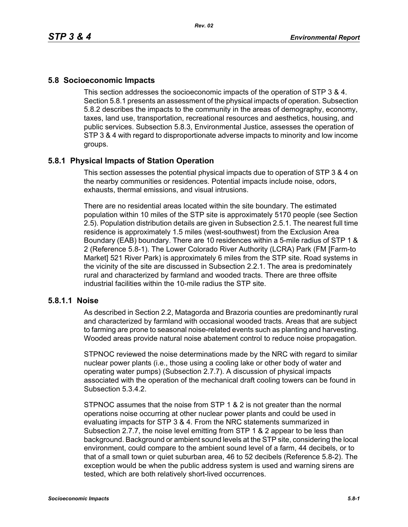## **5.8 Socioeconomic Impacts**

This section addresses the socioeconomic impacts of the operation of STP 3 & 4. Section 5.8.1 presents an assessment of the physical impacts of operation. Subsection 5.8.2 describes the impacts to the community in the areas of demography, economy, taxes, land use, transportation, recreational resources and aesthetics, housing, and public services. Subsection 5.8.3, Environmental Justice, assesses the operation of STP 3 & 4 with regard to disproportionate adverse impacts to minority and low income groups.

## **5.8.1 Physical Impacts of Station Operation**

This section assesses the potential physical impacts due to operation of STP 3 & 4 on the nearby communities or residences. Potential impacts include noise, odors, exhausts, thermal emissions, and visual intrusions.

There are no residential areas located within the site boundary. The estimated population within 10 miles of the STP site is approximately 5170 people (see Section 2.5). Population distribution details are given in Subsection 2.5.1. The nearest full time residence is approximately 1.5 miles (west-southwest) from the Exclusion Area Boundary (EAB) boundary. There are 10 residences within a 5-mile radius of STP 1 & 2 (Reference 5.8-1). The Lower Colorado River Authority (LCRA) Park (FM [Farm-to Market] 521 River Park) is approximately 6 miles from the STP site. Road systems in the vicinity of the site are discussed in Subsection 2.2.1. The area is predominately rural and characterized by farmland and wooded tracts. There are three offsite industrial facilities within the 10-mile radius the STP site.

## **5.8.1.1 Noise**

As described in Section 2.2, Matagorda and Brazoria counties are predominantly rural and characterized by farmland with occasional wooded tracts. Areas that are subject to farming are prone to seasonal noise-related events such as planting and harvesting. Wooded areas provide natural noise abatement control to reduce noise propagation.

STPNOC reviewed the noise determinations made by the NRC with regard to similar nuclear power plants (i.e., those using a cooling lake or other body of water and operating water pumps) (Subsection 2.7.7). A discussion of physical impacts associated with the operation of the mechanical draft cooling towers can be found in Subsection 5.3.4.2.

STPNOC assumes that the noise from STP 1 & 2 is not greater than the normal operations noise occurring at other nuclear power plants and could be used in evaluating impacts for STP 3 & 4. From the NRC statements summarized in Subsection 2.7.7, the noise level emitting from STP 1 & 2 appear to be less than background. Background or ambient sound levels at the STP site, considering the local environment, could compare to the ambient sound level of a farm, 44 decibels, or to that of a small town or quiet suburban area, 46 to 52 decibels (Reference 5.8-2). The exception would be when the public address system is used and warning sirens are tested, which are both relatively short-lived occurrences.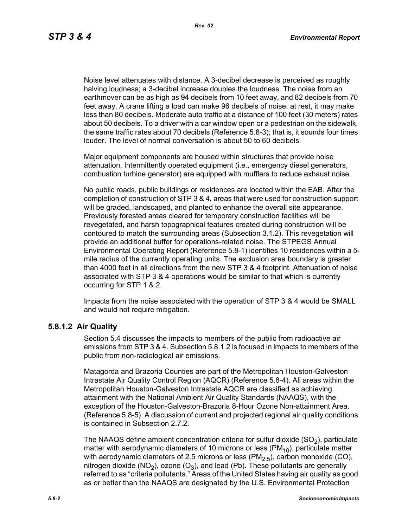Noise level attenuates with distance. A 3-decibel decrease is perceived as roughly halving loudness; a 3-decibel increase doubles the loudness. The noise from an earthmover can be as high as 94 decibels from 10 feet away, and 82 decibels from 70 feet away. A crane lifting a load can make 96 decibels of noise; at rest, it may make less than 80 decibels. Moderate auto traffic at a distance of 100 feet (30 meters) rates about 50 decibels. To a driver with a car window open or a pedestrian on the sidewalk, the same traffic rates about 70 decibels (Reference 5.8-3); that is, it sounds four times louder. The level of normal conversation is about 50 to 60 decibels.

Major equipment components are housed within structures that provide noise attenuation. Intermittently operated equipment (i.e., emergency diesel generators, combustion turbine generator) are equipped with mufflers to reduce exhaust noise.

No public roads, public buildings or residences are located within the EAB. After the completion of construction of STP 3 & 4, areas that were used for construction support will be graded, landscaped, and planted to enhance the overall site appearance. Previously forested areas cleared for temporary construction facilities will be revegetated, and harsh topographical features created during construction will be contoured to match the surrounding areas (Subsection 3.1.2). This revegetation will provide an additional buffer for operations-related noise. The STPEGS Annual Environmental Operating Report (Reference 5.8-1) identifies 10 residences within a 5 mile radius of the currently operating units. The exclusion area boundary is greater than 4000 feet in all directions from the new STP 3 & 4 footprint. Attenuation of noise associated with STP 3 & 4 operations would be similar to that which is currently occurring for STP 1 & 2.

Impacts from the noise associated with the operation of STP 3 & 4 would be SMALL and would not require mitigation.

## **5.8.1.2 Air Quality**

Section 5.4 discusses the impacts to members of the public from radioactive air emissions from STP 3 & 4. Subsection 5.8.1.2 is focused in impacts to members of the public from non-radiological air emissions.

Matagorda and Brazoria Counties are part of the Metropolitan Houston-Galveston Intrastate Air Quality Control Region (AQCR) (Reference 5.8-4). All areas within the Metropolitan Houston-Galveston Intrastate AQCR are classified as achieving attainment with the National Ambient Air Quality Standards (NAAQS), with the exception of the Houston-Galveston-Brazoria 8-Hour Ozone Non-attainment Area. (Reference 5.8-5). A discussion of current and projected regional air quality conditions is contained in Subsection 2.7.2.

The NAAQS define ambient concentration criteria for sulfur dioxide  $(SO<sub>2</sub>)$ , particulate matter with aerodynamic diameters of 10 microns or less ( $PM_{10}$ ), particulate matter with aerodynamic diameters of 2.5 microns or less  $(PM<sub>2.5</sub>)$ , carbon monoxide (CO), nitrogen dioxide (NO<sub>2</sub>), ozone (O<sub>3</sub>), and lead (Pb). These pollutants are generally referred to as "criteria pollutants." Areas of the United States having air quality as good as or better than the NAAQS are designated by the U.S. Environmental Protection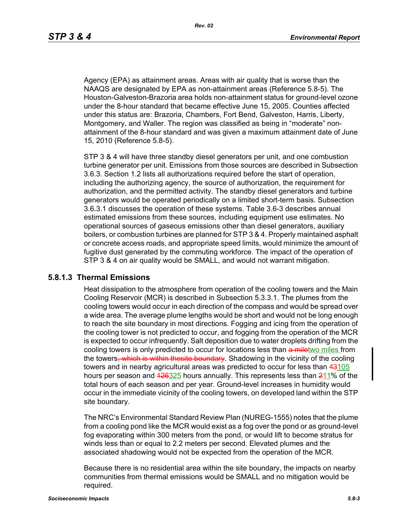Agency (EPA) as attainment areas. Areas with air quality that is worse than the NAAQS are designated by EPA as non-attainment areas (Reference 5.8-5). The Houston-Galveston-Brazoria area holds non-attainment status for ground-level ozone under the 8-hour standard that became effective June 15, 2005. Counties affected under this status are: Brazoria, Chambers, Fort Bend, Galveston, Harris, Liberty, Montgomery, and Waller. The region was classified as being in "moderate" nonattainment of the 8-hour standard and was given a maximum attainment date of June 15, 2010 (Reference 5.8-5).

STP 3 & 4 will have three standby diesel generators per unit, and one combustion turbine generator per unit. Emissions from those sources are described in Subsection 3.6.3. Section 1.2 lists all authorizations required before the start of operation, including the authorizing agency, the source of authorization, the requirement for authorization, and the permitted activity. The standby diesel generators and turbine generators would be operated periodically on a limited short-term basis. Subsection 3.6.3.1 discusses the operation of these systems. Table 3.6-3 describes annual estimated emissions from these sources, including equipment use estimates. No operational sources of gaseous emissions other than diesel generators, auxiliary boilers, or combustion turbines are planned for STP 3 & 4. Properly maintained asphalt or concrete access roads, and appropriate speed limits, would minimize the amount of fugitive dust generated by the commuting workforce. The impact of the operation of STP 3 & 4 on air quality would be SMALL, and would not warrant mitigation.

#### **5.8.1.3 Thermal Emissions**

Heat dissipation to the atmosphere from operation of the cooling towers and the Main Cooling Reservoir (MCR) is described in Subsection 5.3.3.1. The plumes from the cooling towers would occur in each direction of the compass and would be spread over a wide area. The average plume lengths would be short and would not be long enough to reach the site boundary in most directions. Fogging and icing from the operation of the cooling tower is not predicted to occur, and fogging from the operation of the MCR is expected to occur infrequently. Salt deposition due to water droplets drifting from the cooling towers is only predicted to occur for locations less than a miletwo miles from the towers, which is within thesite boundary. Shadowing in the vicinity of the cooling towers and in nearby agricultural areas was predicted to occur for less than 43105 hours per season and 426325 hours annually. This represents less than 211% of the total hours of each season and per year. Ground-level increases in humidity would occur in the immediate vicinity of the cooling towers, on developed land within the STP site boundary.

The NRC's Environmental Standard Review Plan (NUREG-1555) notes that the plume from a cooling pond like the MCR would exist as a fog over the pond or as ground-level fog evaporating within 300 meters from the pond, or would lift to become stratus for winds less than or equal to 2.2 meters per second. Elevated plumes and the associated shadowing would not be expected from the operation of the MCR.

Because there is no residential area within the site boundary, the impacts on nearby communities from thermal emissions would be SMALL and no mitigation would be required.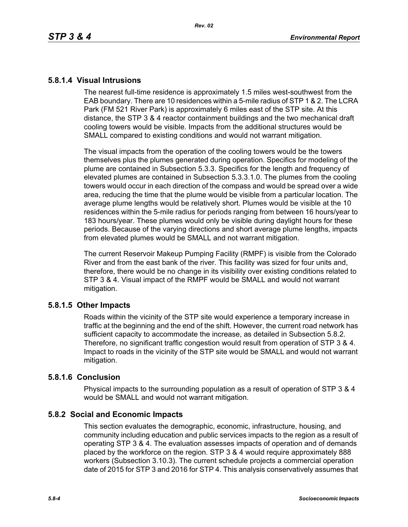## **5.8.1.4 Visual Intrusions**

The nearest full-time residence is approximately 1.5 miles west-southwest from the EAB boundary. There are 10 residences within a 5-mile radius of STP 1 & 2. The LCRA Park (FM 521 River Park) is approximately 6 miles east of the STP site. At this distance, the STP 3 & 4 reactor containment buildings and the two mechanical draft cooling towers would be visible. Impacts from the additional structures would be SMALL compared to existing conditions and would not warrant mitigation.

The visual impacts from the operation of the cooling towers would be the towers themselves plus the plumes generated during operation. Specifics for modeling of the plume are contained in Subsection 5.3.3. Specifics for the length and frequency of elevated plumes are contained in Subsection 5.3.3.1.0. The plumes from the cooling towers would occur in each direction of the compass and would be spread over a wide area, reducing the time that the plume would be visible from a particular location. The average plume lengths would be relatively short. Plumes would be visible at the 10 residences within the 5-mile radius for periods ranging from between 16 hours/year to 183 hours/year. These plumes would only be visible during daylight hours for these periods. Because of the varying directions and short average plume lengths, impacts from elevated plumes would be SMALL and not warrant mitigation.

The current Reservoir Makeup Pumping Facility (RMPF) is visible from the Colorado River and from the east bank of the river. This facility was sized for four units and, therefore, there would be no change in its visibility over existing conditions related to STP 3 & 4. Visual impact of the RMPF would be SMALL and would not warrant mitigation.

## **5.8.1.5 Other Impacts**

Roads within the vicinity of the STP site would experience a temporary increase in traffic at the beginning and the end of the shift. However, the current road network has sufficient capacity to accommodate the increase, as detailed in Subsection 5.8.2. Therefore, no significant traffic congestion would result from operation of STP 3 & 4. Impact to roads in the vicinity of the STP site would be SMALL and would not warrant mitigation.

## **5.8.1.6 Conclusion**

Physical impacts to the surrounding population as a result of operation of STP 3 & 4 would be SMALL and would not warrant mitigation.

## **5.8.2 Social and Economic Impacts**

This section evaluates the demographic, economic, infrastructure, housing, and community including education and public services impacts to the region as a result of operating STP 3 & 4. The evaluation assesses impacts of operation and of demands placed by the workforce on the region. STP 3 & 4 would require approximately 888 workers (Subsection 3.10.3). The current schedule projects a commercial operation date of 2015 for STP 3 and 2016 for STP 4. This analysis conservatively assumes that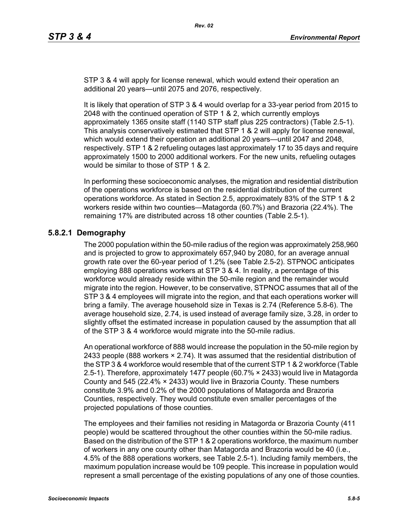STP 3 & 4 will apply for license renewal, which would extend their operation an additional 20 years—until 2075 and 2076, respectively.

It is likely that operation of STP 3 & 4 would overlap for a 33-year period from 2015 to 2048 with the continued operation of STP 1 & 2, which currently employs approximately 1365 onsite staff (1140 STP staff plus 225 contractors) (Table 2.5-1). This analysis conservatively estimated that STP 1 & 2 will apply for license renewal, which would extend their operation an additional 20 years—until 2047 and 2048, respectively. STP 1 & 2 refueling outages last approximately 17 to 35 days and require approximately 1500 to 2000 additional workers. For the new units, refueling outages would be similar to those of STP 1 & 2.

In performing these socioeconomic analyses, the migration and residential distribution of the operations workforce is based on the residential distribution of the current operations workforce. As stated in Section 2.5, approximately 83% of the STP 1 & 2 workers reside within two counties—Matagorda (60.7%) and Brazoria (22.4%). The remaining 17% are distributed across 18 other counties (Table 2.5-1).

# **5.8.2.1 Demography**

The 2000 population within the 50-mile radius of the region was approximately 258,960 and is projected to grow to approximately 657,940 by 2080, for an average annual growth rate over the 60-year period of 1.2% (see Table 2.5-2). STPNOC anticipates employing 888 operations workers at STP 3 & 4. In reality, a percentage of this workforce would already reside within the 50-mile region and the remainder would migrate into the region. However, to be conservative, STPNOC assumes that all of the STP 3 & 4 employees will migrate into the region, and that each operations worker will bring a family. The average household size in Texas is 2.74 (Reference 5.8-6). The average household size, 2.74, is used instead of average family size, 3.28, in order to slightly offset the estimated increase in population caused by the assumption that all of the STP 3 & 4 workforce would migrate into the 50-mile radius.

An operational workforce of 888 would increase the population in the 50-mile region by 2433 people (888 workers  $\times$  2.74). It was assumed that the residential distribution of [the STP 3 & 4 workforce would resemble that of the current STP 1 & 2 workforce \(Table](http://www.stats.bls.gov/)  2.5-1). Therefore, approximately 1477 people (60.7% × 2433) would live in Matagorda County and 545 (22.4% × 2433) would live in Brazoria County. These numbers constitute 3.9% and 0.2% of the 2000 populations of Matagorda and Brazoria Counties, respectively. They would constitute even smaller percentages of the projected populations of those counties.

The employees and their families not residing in Matagorda or Brazoria County (411 people) would be scattered throughout the other counties within the 50-mile radius. Based on the distribution of the STP 1 & 2 operations workforce, the maximum number of workers in any one county other than Matagorda and Brazoria would be 40 (i.e., 4.5% of the 888 operations workers, see Table 2.5-1). Including family members, the maximum population increase would be 109 people. This increase in population would represent a small percentage of the existing populations of any one of those counties.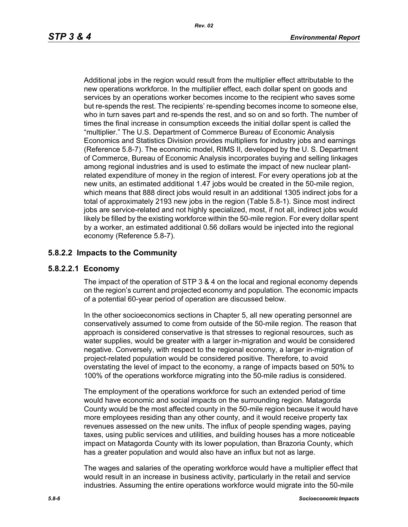Additional jobs in the region would result from the multiplier effect attributable to the new operations workforce. In the multiplier effect, each dollar spent on goods and services by an operations worker becomes income to the recipient who saves some but re-spends the rest. The recipients' re-spending becomes income to someone else, who in turn saves part and re-spends the rest, and so on and so forth. The number of times the final increase in consumption exceeds the initial dollar spent is called the "multiplier." The U.S. Department of Commerce Bureau of Economic Analysis Economics and Statistics Division provides multipliers for industry jobs and earnings (Reference 5.8-7). The economic model, RIMS II, developed by the U. S. Department of Commerce, Bureau of Economic Analysis incorporates buying and selling linkages among regional industries and is used to estimate the impact of new nuclear plantrelated expenditure of money in the region of interest. For every operations job at the new units, an estimated additional 1.47 jobs would be created in the 50-mile region, which means that 888 direct jobs would result in an additional 1305 indirect jobs for a total of approximately 2193 new jobs in the region (Table 5.8-1). Since most indirect iobs are service-related and not highly specialized, most, if not all, indirect jobs would likely be filled by the existing workforce within the 50-mile region. For every dollar spent by a worker, an estimated additional 0.56 dollars would be injected into the regional economy (Reference 5.8-7).

## **5.8.2.2 Impacts to the Community**

## **5.8.2.2.1 Economy**

The impact of the operation of STP 3 & 4 on the local and regional economy depends on the region's current and projected economy and population. The economic impacts of a potential 60-year period of operation are discussed below.

In the other socioeconomics sections in Chapter 5, all new operating personnel are conservatively assumed to come from outside of the 50-mile region. The reason that approach is considered conservative is that stresses to regional resources, such as water supplies, would be greater with a larger in-migration and would be considered negative. Conversely, with respect to the regional economy, a larger in-migration of project-related population would be considered positive. Therefore, to avoid overstating the level of impact to the economy, a range of impacts based on 50% to 100% of the operations workforce migrating into the 50-mile radius is considered.

The employment of the operations workforce for such an extended period of time would have economic and social impacts on the surrounding region. Matagorda County would be the most affected county in the 50-mile region because it would have more employees residing than any other county, and it would receive property tax revenues assessed on the new units. The influx of people spending wages, paying taxes, using public services and utilities, and building houses has a more noticeable impact on Matagorda County with its lower population, than Brazoria County, which has a greater population and would also have an influx but not as large.

The wages and salaries of the operating workforce would have a multiplier effect that would result in an increase in business activity, particularly in the retail and service industries. Assuming the entire operations workforce would migrate into the 50-mile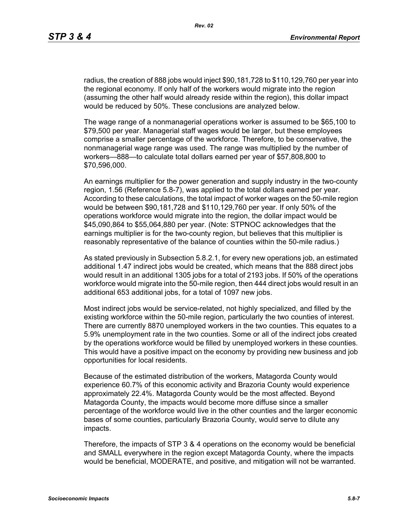radius, the creation of 888 jobs would inject \$90,181,728 to \$110,129,760 per year into the regional economy. If only half of the workers would migrate into the region (assuming the other half would already reside within the region), this dollar impact would be reduced by 50%. These conclusions are analyzed below.

The wage range of a nonmanagerial operations worker is assumed to be \$65,100 to \$79,500 per year. Managerial staff wages would be larger, but these employees comprise a smaller percentage of the workforce. Therefore, to be conservative, the nonmanagerial wage range was used. The range was multiplied by the number of workers—888—to calculate total dollars earned per year of \$57,808,800 to \$70,596,000.

An earnings multiplier for the power generation and supply industry in the two-county region, 1.56 (Reference 5.8-7), was applied to the total dollars earned per year. According to these calculations, the total impact of worker wages on the 50-mile region would be between \$90,181,728 and \$110,129,760 per year. If only 50% of the operations workforce would migrate into the region, the dollar impact would be \$45,090,864 to \$55,064,880 per year. (Note: STPNOC acknowledges that the earnings multiplier is for the two-county region, but believes that this multiplier is reasonably representative of the balance of counties within the 50-mile radius.)

As stated previously in Subsection 5.8.2.1, for every new operations job, an estimated additional 1.47 indirect jobs would be created, which means that the 888 direct jobs would result in an additional 1305 jobs for a total of 2193 jobs. If 50% of the operations workforce would migrate into the 50-mile region, then 444 direct jobs would result in an additional 653 additional jobs, for a total of 1097 new jobs.

Most indirect jobs would be service-related, not highly specialized, and filled by the existing workforce within the 50-mile region, particularly the two counties of interest. There are currently 8870 unemployed workers in the two counties. This equates to a 5.9% unemployment rate in the two counties. Some or all of the indirect jobs created by the operations workforce would be filled by unemployed workers in these counties. This would have a positive impact on the economy by providing new business and job opportunities for local residents.

Because of the estimated distribution of the workers, Matagorda County would experience 60.7% of this economic activity and Brazoria County would experience approximately 22.4%. Matagorda County would be the most affected. Beyond Matagorda County, the impacts would become more diffuse since a smaller percentage of the workforce would live in the other counties and the larger economic bases of some counties, particularly Brazoria County, would serve to dilute any impacts.

Therefore, the impacts of STP 3 & 4 operations on the economy would be beneficial and SMALL everywhere in the region except Matagorda County, where the impacts would be beneficial, MODERATE, and positive, and mitigation will not be warranted.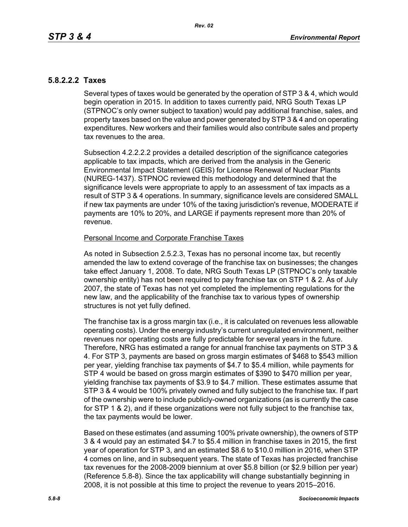## **5.8.2.2.2 Taxes**

Several types of taxes would be generated by the operation of STP 3 & 4, which would begin operation in 2015. In addition to taxes currently paid, NRG South Texas LP (STPNOC's only owner subject to taxation) would pay additional franchise, sales, and property taxes based on the value and power generated by STP 3 & 4 and on operating expenditures. New workers and their families would also contribute sales and property tax revenues to the area.

Subsection 4.2.2.2.2 provides a detailed description of the significance categories applicable to tax impacts, which are derived from the analysis in the Generic Environmental Impact Statement (GEIS) for License Renewal of Nuclear Plants (NUREG-1437). STPNOC reviewed this methodology and determined that the significance levels were appropriate to apply to an assessment of tax impacts as a result of STP 3 & 4 operations. In summary, significance levels are considered SMALL if new tax payments are under 10% of the taxing jurisdiction's revenue, MODERATE if payments are 10% to 20%, and LARGE if payments represent more than 20% of revenue.

#### Personal Income and Corporate Franchise Taxes

As noted in Subsection 2.5.2.3, Texas has no personal income tax, but recently amended the law to extend coverage of the franchise tax on businesses; the changes take effect January 1, 2008. To date, NRG South Texas LP (STPNOC's only taxable ownership entity) has not been required to pay franchise tax on STP 1 & 2. As of July 2007, the state of Texas has not yet completed the implementing regulations for the new law, and the applicability of the franchise tax to various types of ownership structures is not yet fully defined.

The franchise tax is a gross margin tax (i.e., it is calculated on revenues less allowable operating costs). Under the energy industry's current unregulated environment, neither revenues nor operating costs are fully predictable for several years in the future. Therefore, NRG has estimated a range for annual franchise tax payments on STP 3 & 4. For STP 3, payments are based on gross margin estimates of \$468 to \$543 million per year, yielding franchise tax payments of \$4.7 to \$5.4 million, while payments for STP 4 would be based on gross margin estimates of \$390 to \$470 million per year, yielding franchise tax payments of \$3.9 to \$4.7 million. These estimates assume that STP 3 & 4 would be 100% privately owned and fully subject to the franchise tax. If part of the ownership were to include publicly-owned organizations (as is currently the case for STP 1 & 2), and if these organizations were not fully subject to the franchise tax, the tax payments would be lower.

Based on these estimates (and assuming 100% private ownership), the owners of STP 3 & 4 would pay an estimated \$4.7 to \$5.4 million in franchise taxes in 2015, the first year of operation for STP 3, and an estimated \$8.6 to \$10.0 million in 2016, when STP 4 comes on line, and in subsequent years. The state of Texas has projected franchise tax revenues for the 2008-2009 biennium at over \$5.8 billion (or \$2.9 billion per year) (Reference 5.8-8). Since the tax applicability will change substantially beginning in 2008, it is not possible at this time to project the revenue to years 2015–2016.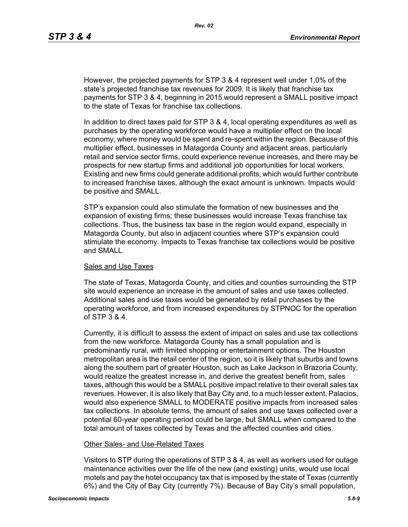However, the projected payments for STP 3 & 4 represent well under 1.0% of the state's projected franchise tax revenues for 2009. It is likely that franchise tax payments for STP 3 & 4, beginning in 2015 would represent a SMALL positive impact to the state of Texas for franchise tax collections.

In addition to direct taxes paid for STP 3 & 4, local operating expenditures as well as purchases by the operating workforce would have a multiplier effect on the local economy, where money would be spent and re-spent within the region. Because of this multiplier effect, businesses in Matagorda County and adjacent areas, particularly retail and service sector firms, could experience revenue increases, and there may be prospects for new startup firms and additional job opportunities for local workers. Existing and new firms could generate additional profits, which would further contribute to increased franchise taxes, although the exact amount is unknown. Impacts would be positive and SMALL.

STP's expansion could also stimulate the formation of new businesses and the expansion of existing firms; these businesses would increase Texas franchise tax collections. Thus, the business tax base in the region would expand, especially in Matagorda County, but also in adjacent counties where STP's expansion could stimulate the economy. Impacts to Texas franchise tax collections would be positive and SMALL.

#### Sales and Use Taxes

The state of Texas, Matagorda County, and cities and counties surrounding the STP site would experience an increase in the amount of sales and use taxes collected. Additional sales and use taxes would be generated by retail purchases by the operating workforce, and from increased expenditures by STPNOC for the operation of STP 3 & 4.

Currently, it is difficult to assess the extent of impact on sales and use tax collections from the new workforce. Matagorda County has a small population and is predominantly rural, with limited shopping or entertainment options. The Houston metropolitan area is the retail center of the region, so it is likely that suburbs and towns along the southern part of greater Houston, such as Lake Jackson in Brazoria County, would realize the greatest increase in, and derive the greatest benefit from, sales taxes, although this would be a SMALL positive impact relative to their overall sales tax revenues. However, it is also likely that Bay City and, to a much lesser extent, Palacios, would also experience SMALL to MODERATE positive impacts from increased sales tax collections. In absolute terms, the amount of sales and use taxes collected over a potential 60-year operating period could be large, but SMALL when compared to the total amount of taxes collected by Texas and the affected counties and cities.

#### Other Sales- and Use-Related Taxes

Visitors to STP during the operations of STP 3 & 4, as well as workers used for outage maintenance activities over the life of the new (and existing) units, would use local motels and pay the hotel occupancy tax that is imposed by the state of Texas (currently 6%) and the City of Bay City (currently 7%). Because of Bay City's small population,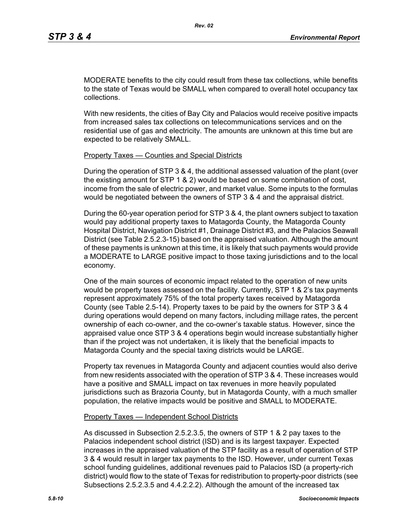MODERATE benefits to the city could result from these tax collections, while benefits to the state of Texas would be SMALL when compared to overall hotel occupancy tax collections.

With new residents, the cities of Bay City and Palacios would receive positive impacts from increased sales tax collections on telecommunications services and on the residential use of gas and electricity. The amounts are unknown at this time but are expected to be relatively SMALL.

#### Property Taxes — Counties and Special Districts

During the operation of STP 3 & 4, the additional assessed valuation of the plant (over the existing amount for STP 1 & 2) would be based on some combination of cost, income from the sale of electric power, and market value. Some inputs to the formulas would be negotiated between the owners of STP 3 & 4 and the appraisal district.

During the 60-year operation period for STP 3 & 4, the plant owners subject to taxation would pay additional property taxes to Matagorda County, the Matagorda County Hospital District, Navigation District #1, Drainage District #3, and the Palacios Seawall District (see Table 2.5.2.3-15) based on the appraised valuation. Although the amount of these payments is unknown at this time, it is likely that such payments would provide a MODERATE to LARGE positive impact to those taxing jurisdictions and to the local economy.

One of the main sources of economic impact related to the operation of new units would be property taxes assessed on the facility. Currently, STP 1 & 2's tax payments represent approximately 75% of the total property taxes received by Matagorda County (see Table 2.5-14). Property taxes to be paid by the owners for STP 3 & 4 during operations would depend on many factors, including millage rates, the percent ownership of each co-owner, and the co-owner's taxable status. However, since the appraised value once STP 3 & 4 operations begin would increase substantially higher than if the project was not undertaken, it is likely that the beneficial impacts to Matagorda County and the special taxing districts would be LARGE.

Property tax revenues in Matagorda County and adjacent counties would also derive from new residents associated with the operation of STP 3 & 4. These increases would have a positive and SMALL impact on tax revenues in more heavily populated jurisdictions such as Brazoria County, but in Matagorda County, with a much smaller population, the relative impacts would be positive and SMALL to MODERATE.

#### Property Taxes — Independent School Districts

As discussed in Subsection 2.5.2.3.5, the owners of STP 1 & 2 pay taxes to the Palacios independent school district (ISD) and is its largest taxpayer. Expected increases in the appraised valuation of the STP facility as a result of operation of STP 3 & 4 would result in larger tax payments to the ISD. However, under current Texas school funding guidelines, additional revenues paid to Palacios ISD (a property-rich district) would flow to the state of Texas for redistribution to property-poor districts (see Subsections 2.5.2.3.5 and 4.4.2.2.2). Although the amount of the increased tax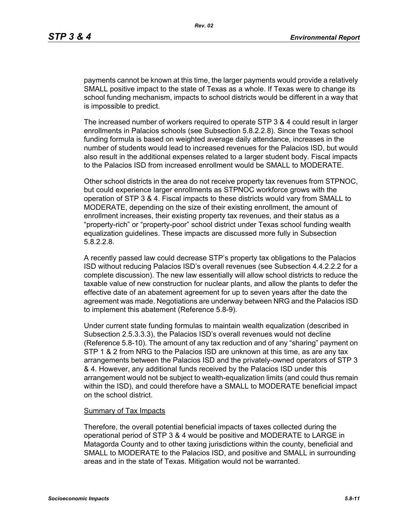payments cannot be known at this time, the larger payments would provide a relatively SMALL positive impact to the state of Texas as a whole. If Texas were to change its school funding mechanism, impacts to school districts would be different in a way that is impossible to predict.

The increased number of workers required to operate STP 3 & 4 could result in larger enrollments in Palacios schools (see Subsection 5.8.2.2.8). Since the Texas school funding formula is based on weighted average daily attendance, increases in the number of students would lead to increased revenues for the Palacios ISD, but would also result in the additional expenses related to a larger student body. Fiscal impacts to the Palacios ISD from increased enrollment would be SMALL to MODERATE.

Other school districts in the area do not receive property tax revenues from STPNOC, but could experience larger enrollments as STPNOC workforce grows with the operation of STP 3 & 4. Fiscal impacts to these districts would vary from SMALL to MODERATE, depending on the size of their existing enrollment, the amount of enrollment increases, their existing property tax revenues, and their status as a "property-rich" or "property-poor" school district under Texas school funding wealth equalization guidelines. These impacts are discussed more fully in Subsection 5.8.2.2.8.

A recently passed law could decrease STP's property tax obligations to the Palacios ISD without reducing Palacios ISD's overall revenues (see Subsection 4.4.2.2.2 for a complete discussion). The new law essentially will allow school districts to reduce the taxable value of new construction for nuclear plants, and allow the plants to defer the effective date of an abatement agreement for up to seven years after the date the agreement was made. Negotiations are underway between NRG and the Palacios ISD to implement this abatement (Reference 5.8-9).

Under current state funding formulas to maintain wealth equalization (described in Subsection 2.5.3.3.3), the Palacios ISD's overall revenues would not decline (Reference 5.8-10). The amount of any tax reduction and of any "sharing" payment on STP 1 & 2 from NRG to the Palacios ISD are unknown at this time, as are any tax arrangements between the Palacios ISD and the privately-owned operators of STP 3 & 4. However, any additional funds received by the Palacios ISD under this arrangement would not be subject to wealth-equalization limits (and could thus remain within the ISD), and could therefore have a SMALL to MODERATE beneficial impact on the school district.

#### Summary of Tax Impacts

Therefore, the overall potential beneficial impacts of taxes collected during the operational period of STP 3 & 4 would be positive and MODERATE to LARGE in Matagorda County and to other taxing jurisdictions within the county, beneficial and SMALL to MODERATE to the Palacios ISD, and positive and SMALL in surrounding areas and in the state of Texas. Mitigation would not be warranted.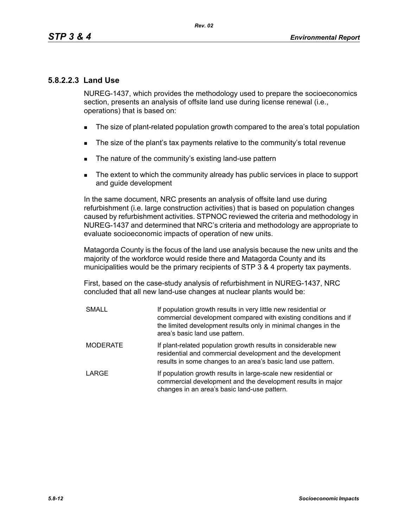## **5.8.2.2.3 Land Use**

NUREG-1437, which provides the methodology used to prepare the socioeconomics section, presents an analysis of offsite land use during license renewal (i.e., operations) that is based on:

- The size of plant-related population growth compared to the area's total population
- The size of the plant's tax payments relative to the community's total revenue
- The nature of the community's existing land-use pattern
- The extent to which the community already has public services in place to support and guide development

In the same document, NRC presents an analysis of offsite land use during refurbishment (i.e. large construction activities) that is based on population changes caused by refurbishment activities. STPNOC reviewed the criteria and methodology in NUREG-1437 and determined that NRC's criteria and methodology are appropriate to evaluate socioeconomic impacts of operation of new units.

Matagorda County is the focus of the land use analysis because the new units and the majority of the workforce would reside there and Matagorda County and its municipalities would be the primary recipients of STP 3 & 4 property tax payments.

First, based on the case-study analysis of refurbishment in NUREG-1437, NRC concluded that all new land-use changes at nuclear plants would be:

| <b>SMALL</b>    | If population growth results in very little new residential or<br>commercial development compared with existing conditions and if<br>the limited development results only in minimal changes in the<br>area's basic land use pattern. |
|-----------------|---------------------------------------------------------------------------------------------------------------------------------------------------------------------------------------------------------------------------------------|
| <b>MODERATE</b> | If plant-related population growth results in considerable new<br>residential and commercial development and the development<br>results in some changes to an area's basic land use pattern.                                          |
| LARGE           | If population growth results in large-scale new residential or<br>commercial development and the development results in major<br>changes in an area's basic land-use pattern.                                                         |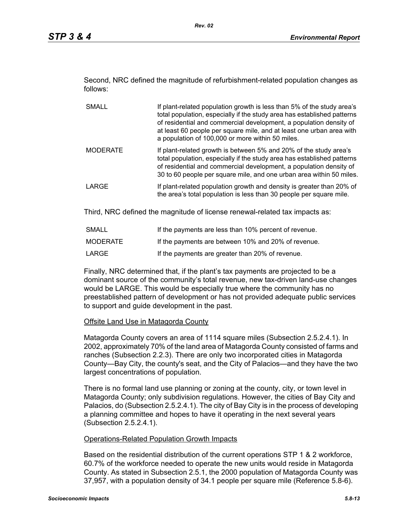Second, NRC defined the magnitude of refurbishment-related population changes as follows:

- SMALL If plant-related population growth is less than 5% of the study area's total population, especially if the study area has established patterns of residential and commercial development, a population density of at least 60 people per square mile, and at least one urban area with a population of 100,000 or more within 50 miles. MODERATE If plant-related growth is between 5% and 20% of the study area's total population, especially if the study area has established patterns of residential and commercial development, a population density of 30 to 60 people per square mile, and one urban area within 50 miles.
- LARGE **If plant-related population growth and density is greater than 20% of** the area's total population is less than 30 people per square mile.

Third, NRC defined the magnitude of license renewal-related tax impacts as:

| SMALL    | If the payments are less than 10% percent of revenue. |
|----------|-------------------------------------------------------|
| MODERATE | If the payments are between 10% and 20% of revenue.   |
| LARGE    | If the payments are greater than 20% of revenue.      |

Finally, NRC determined that, if the plant's tax payments are projected to be a dominant source of the community's total revenue, new tax-driven land-use changes would be LARGE. This would be especially true where the community has no preestablished pattern of development or has not provided adequate public services to support and guide development in the past.

## **Offsite Land Use in Matagorda County**

Matagorda County covers an area of 1114 square miles (Subsection 2.5.2.4.1). In 2002, approximately 70% of the land area of Matagorda County consisted of farms and ranches (Subsection 2.2.3). There are only two incorporated cities in Matagorda County—Bay City, the county's seat, and the City of Palacios—and they have the two largest concentrations of population.

There is no formal land use planning or zoning at the county, city, or town level in Matagorda County; only subdivision regulations. However, the cities of Bay City and Palacios, do (Subsection 2.5.2.4.1). The city of Bay City is in the process of developing a planning committee and hopes to have it operating in the next several years (Subsection 2.5.2.4.1).

## Operations-Related Population Growth Impacts

Based on the residential distribution of the current operations STP 1 & 2 workforce, 60.7% of the workforce needed to operate the new units would reside in Matagorda County. As stated in Subsection 2.5.1, the 2000 population of Matagorda County was 37,957, with a population density of 34.1 people per square mile (Reference 5.8-6).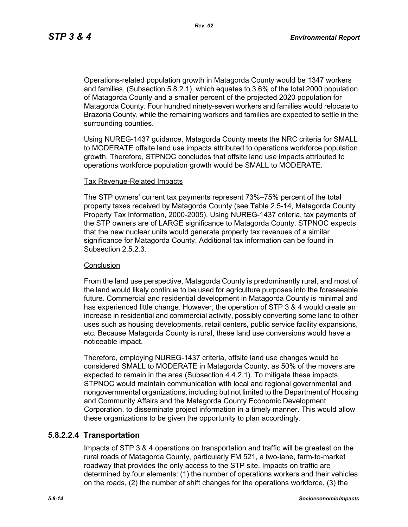Operations-related population growth in Matagorda County would be 1347 workers and families, (Subsection 5.8.2.1), which equates to 3.6% of the total 2000 population of Matagorda County and a smaller percent of the projected 2020 population for Matagorda County. Four hundred ninety-seven workers and families would relocate to Brazoria County, while the remaining workers and families are expected to settle in the surrounding counties.

Using NUREG-1437 guidance, Matagorda County meets the NRC criteria for SMALL to MODERATE offsite land use impacts attributed to operations workforce population growth. Therefore, STPNOC concludes that offsite land use impacts attributed to operations workforce population growth would be SMALL to MODERATE.

#### Tax Revenue-Related Impacts

The STP owners' current tax payments represent 73%–75% percent of the total property taxes received by Matagorda County (see Table 2.5-14, Matagorda County Property Tax Information, 2000-2005). Using NUREG-1437 criteria, tax payments of the STP owners are of LARGE significance to Matagorda County. STPNOC expects that the new nuclear units would generate property tax revenues of a similar significance for Matagorda County. Additional tax information can be found in Subsection 2.5.2.3.

#### **Conclusion**

From the land use perspective, Matagorda County is predominantly rural, and most of the land would likely continue to be used for agriculture purposes into the foreseeable future. Commercial and residential development in Matagorda County is minimal and has experienced little change. However, the operation of STP 3 & 4 would create an increase in residential and commercial activity, possibly converting some land to other uses such as housing developments, retail centers, public service facility expansions, etc. Because Matagorda County is rural, these land use conversions would have a noticeable impact.

Therefore, employing NUREG-1437 criteria, offsite land use changes would be considered SMALL to MODERATE in Matagorda County, as 50% of the movers are expected to remain in the area (Subsection 4.4.2.1). To mitigate these impacts, STPNOC would maintain communication with local and regional governmental and nongovernmental organizations, including but not limited to the Department of Housing and Community Affairs and the Matagorda County Economic Development Corporation, to disseminate project information in a timely manner. This would allow these organizations to be given the opportunity to plan accordingly.

## **5.8.2.2.4 Transportation**

Impacts of STP 3 & 4 operations on transportation and traffic will be greatest on the rural roads of Matagorda County, particularly FM 521, a two-lane, farm-to-market roadway that provides the only access to the STP site. Impacts on traffic are determined by four elements: (1) the number of operations workers and their vehicles on the roads, (2) the number of shift changes for the operations workforce, (3) the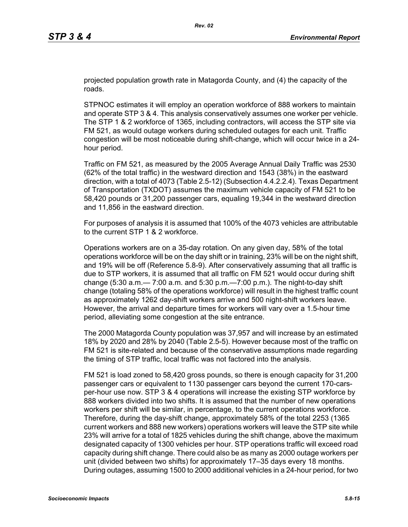projected population growth rate in Matagorda County, and (4) the capacity of the roads.

STPNOC estimates it will employ an operation workforce of 888 workers to maintain and operate STP 3 & 4. This analysis conservatively assumes one worker per vehicle. The STP 1 & 2 workforce of 1365, including contractors, will access the STP site via FM 521, as would outage workers during scheduled outages for each unit. Traffic congestion will be most noticeable during shift-change, which will occur twice in a 24 hour period.

Traffic on FM 521, as measured by the 2005 Average Annual Daily Traffic was 2530 (62% of the total traffic) in the westward direction and 1543 (38%) in the eastward direction, with a total of 4073 (Table 2.5-12) (Subsection 4.4.2.2.4). Texas Department of Transportation (TXDOT) assumes the maximum vehicle capacity of FM 521 to be 58,420 pounds or 31,200 passenger cars, equaling 19,344 in the westward direction and 11,856 in the eastward direction.

For purposes of analysis it is assumed that 100% of the 4073 vehicles are attributable to the current STP 1 & 2 workforce.

Operations workers are on a 35-day rotation. On any given day, 58% of the total operations workforce will be on the day shift or in training, 23% will be on the night shift, and 19% will be off (Reference 5.8-9). After conservatively assuming that all traffic is due to STP workers, it is assumed that all traffic on FM 521 would occur during shift change (5:30 a.m.— 7:00 a.m. and 5:30 p.m.—7:00 p.m.). The night-to-day shift change (totaling 58% of the operations workforce) will result in the highest traffic count as approximately 1262 day-shift workers arrive and 500 night-shift workers leave. However, the arrival and departure times for workers will vary over a 1.5-hour time period, alleviating some congestion at the site entrance.

The 2000 Matagorda County population was 37,957 and will increase by an estimated 18% by 2020 and 28% by 2040 (Table 2.5-5). However because most of the traffic on FM 521 is site-related and because of the conservative assumptions made regarding the timing of STP traffic, local traffic was not factored into the analysis.

FM 521 is load zoned to 58,420 gross pounds, so there is enough capacity for 31,200 passenger cars or equivalent to 1130 passenger cars beyond the current 170-carsper-hour use now. STP 3 & 4 operations will increase the existing STP workforce by 888 workers divided into two shifts. It is assumed that the number of new operations workers per shift will be similar, in percentage, to the current operations workforce. Therefore, during the day-shift change, approximately 58% of the total 2253 (1365 current workers and 888 new workers) operations workers will leave the STP site while 23% will arrive for a total of 1825 vehicles during the shift change, above the maximum designated capacity of 1300 vehicles per hour. STP operations traffic will exceed road capacity during shift change. There could also be as many as 2000 outage workers per unit (divided between two shifts) for approximately 17–35 days every 18 months. During outages, assuming 1500 to 2000 additional vehicles in a 24-hour period, for two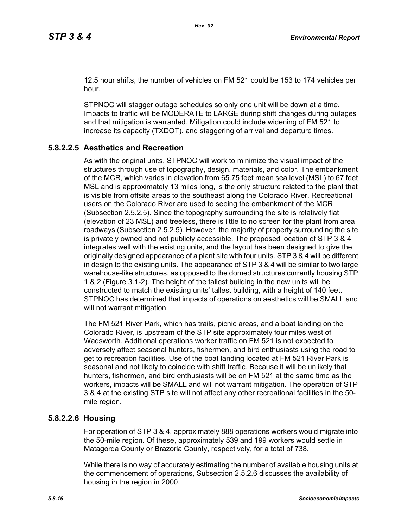12.5 hour shifts, the number of vehicles on FM 521 could be 153 to 174 vehicles per hour.

STPNOC will stagger outage schedules so only one unit will be down at a time. Impacts to traffic will be MODERATE to LARGE during shift changes during outages and that mitigation is warranted. Mitigation could include widening of FM 521 to increase its capacity (TXDOT), and staggering of arrival and departure times.

# **5.8.2.2.5 Aesthetics and Recreation**

As with the original units, STPNOC will work to minimize the visual impact of the structures through use of topography, design, materials, and color. The embankment of the MCR, which varies in elevation from 65.75 feet mean sea level (MSL) to 67 feet MSL and is approximately 13 miles long, is the only structure related to the plant that is visible from offsite areas to the southeast along the Colorado River. Recreational users on the Colorado River are used to seeing the embankment of the MCR (Subsection 2.5.2.5). Since the topography surrounding the site is relatively flat (elevation of 23 MSL) and treeless, there is little to no screen for the plant from area roadways (Subsection 2.5.2.5). However, the majority of property surrounding the site is privately owned and not publicly accessible. The proposed location of STP 3 & 4 integrates well with the existing units, and the layout has been designed to give the originally designed appearance of a plant site with four units. STP 3 & 4 will be different in design to the existing units. The appearance of STP 3 & 4 will be similar to two large warehouse-like structures, as opposed to the domed structures currently housing STP 1 & 2 (Figure 3.1-2). The height of the tallest building in the new units will be constructed to match the existing units' tallest building, with a height of 140 feet. STPNOC has determined that impacts of operations on aesthetics will be SMALL and will not warrant mitigation.

The FM 521 River Park, which has trails, picnic areas, and a boat landing on the Colorado River, is upstream of the STP site approximately four miles west of Wadsworth. Additional operations worker traffic on FM 521 is not expected to adversely affect seasonal hunters, fishermen, and bird enthusiasts using the road to get to recreation facilities. Use of the boat landing located at FM 521 River Park is seasonal and not likely to coincide with shift traffic. Because it will be unlikely that hunters, fishermen, and bird enthusiasts will be on FM 521 at the same time as the workers, impacts will be SMALL and will not warrant mitigation. The operation of STP 3 & 4 at the existing STP site will not affect any other recreational facilities in the 50 mile region.

## **5.8.2.2.6 Housing**

For operation of STP 3 & 4, approximately 888 operations workers would migrate into the 50-mile region. Of these, approximately 539 and 199 workers would settle in Matagorda County or Brazoria County, respectively, for a total of 738.

While there is no way of accurately estimating the number of available housing units at the commencement of operations, Subsection 2.5.2.6 discusses the availability of housing in the region in 2000.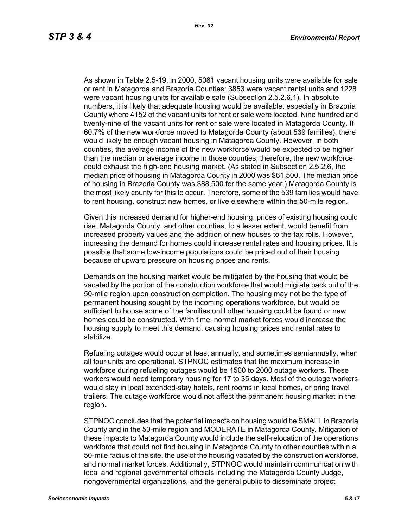As shown in Table 2.5-19, in 2000, 5081 vacant housing units were available for sale or rent in Matagorda and Brazoria Counties: 3853 were vacant rental units and 1228 were vacant housing units for available sale (Subsection 2.5.2.6.1). In absolute numbers, it is likely that adequate housing would be available, especially in Brazoria County where 4152 of the vacant units for rent or sale were located. Nine hundred and twenty-nine of the vacant units for rent or sale were located in Matagorda County. If 60.7% of the new workforce moved to Matagorda County (about 539 families), there would likely be enough vacant housing in Matagorda County. However, in both counties, the average income of the new workforce would be expected to be higher than the median or average income in those counties; therefore, the new workforce could exhaust the high-end housing market. (As stated in Subsection 2.5.2.6, the median price of housing in Matagorda County in 2000 was \$61,500. The median price of housing in Brazoria County was \$88,500 for the same year.) Matagorda County is the most likely county for this to occur. Therefore, some of the 539 families would have to rent housing, construct new homes, or live elsewhere within the 50-mile region.

Given this increased demand for higher-end housing, prices of existing housing could rise. Matagorda County, and other counties, to a lesser extent, would benefit from increased property values and the addition of new houses to the tax rolls. However, increasing the demand for homes could increase rental rates and housing prices. It is possible that some low-income populations could be priced out of their housing because of upward pressure on housing prices and rents.

Demands on the housing market would be mitigated by the housing that would be vacated by the portion of the construction workforce that would migrate back out of the 50-mile region upon construction completion. The housing may not be the type of permanent housing sought by the incoming operations workforce, but would be sufficient to house some of the families until other housing could be found or new homes could be constructed. With time, normal market forces would increase the housing supply to meet this demand, causing housing prices and rental rates to stabilize.

Refueling outages would occur at least annually, and sometimes semiannually, when all four units are operational. STPNOC estimates that the maximum increase in workforce during refueling outages would be 1500 to 2000 outage workers. These workers would need temporary housing for 17 to 35 days. Most of the outage workers would stay in local extended-stay hotels, rent rooms in local homes, or bring travel trailers. The outage workforce would not affect the permanent housing market in the region.

STPNOC concludes that the potential impacts on housing would be SMALL in Brazoria County and in the 50-mile region and MODERATE in Matagorda County. Mitigation of these impacts to Matagorda County would include the self-relocation of the operations workforce that could not find housing in Matagorda County to other counties within a 50-mile radius of the site, the use of the housing vacated by the construction workforce, and normal market forces. Additionally, STPNOC would maintain communication with local and regional governmental officials including the Matagorda County Judge, nongovernmental organizations, and the general public to disseminate project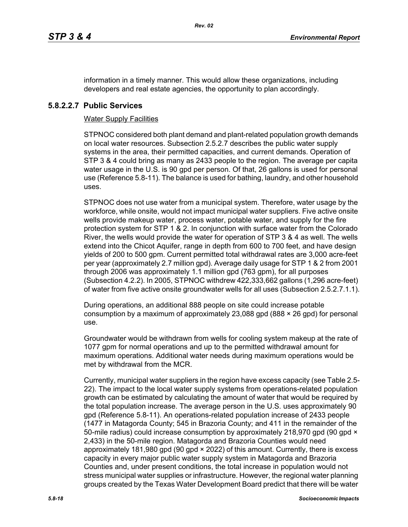information in a timely manner. This would allow these organizations, including developers and real estate agencies, the opportunity to plan accordingly.

## **5.8.2.2.7 Public Services**

### Water Supply Facilities

STPNOC considered both plant demand and plant-related population growth demands on local water resources. Subsection 2.5.2.7 describes the public water supply systems in the area, their permitted capacities, and current demands. Operation of STP 3 & 4 could bring as many as 2433 people to the region. The average per capita water usage in the U.S. is 90 gpd per person. Of that, 26 gallons is used for personal use (Reference 5.8-11). The balance is used for bathing, laundry, and other household uses.

STPNOC does not use water from a municipal system. Therefore, water usage by the workforce, while onsite, would not impact municipal water suppliers. Five active onsite wells provide makeup water, process water, potable water, and supply for the fire protection system for STP 1 & 2. In conjunction with surface water from the Colorado River, the wells would provide the water for operation of STP 3 & 4 as well. The wells extend into the Chicot Aquifer, range in depth from 600 to 700 feet, and have design yields of 200 to 500 gpm. Current permitted total withdrawal rates are 3,000 acre-feet per year (approximately 2.7 million gpd). Average daily usage for STP 1 & 2 from 2001 through 2006 was approximately 1.1 million gpd (763 gpm), for all purposes (Subsection 4.2.2). In 2005, STPNOC withdrew 422,333,662 gallons (1,296 acre-feet) of water from five active onsite groundwater wells for all uses (Subsection 2.5.2.7.1.1).

During operations, an additional 888 people on site could increase potable consumption by a maximum of approximately 23,088 gpd (888  $\times$  26 gpd) for personal use.

Groundwater would be withdrawn from wells for cooling system makeup at the rate of 1077 gpm for normal operations and up to the permitted withdrawal amount for maximum operations. Additional water needs during maximum operations would be met by withdrawal from the MCR.

Currently, municipal water suppliers in the region have excess capacity (see Table 2.5- 22). The impact to the local water supply systems from operations-related population growth can be estimated by calculating the amount of water that would be required by the total population increase. The average person in the U.S. uses approximately 90 gpd (Reference 5.8-11). An operations-related population increase of 2433 people (1477 in Matagorda County; 545 in Brazoria County; and 411 in the remainder of the 50-mile radius) could increase consumption by approximately 218,970 gpd (90 gpd  $\times$ 2,433) in the 50-mile region. Matagorda and Brazoria Counties would need approximately 181,980 gpd (90 gpd × 2022) of this amount. Currently, there is excess capacity in every major public water supply system in Matagorda and Brazoria Counties and, under present conditions, the total increase in population would not stress municipal water supplies or infrastructure. However, the regional water planning groups created by the Texas Water Development Board predict that there will be water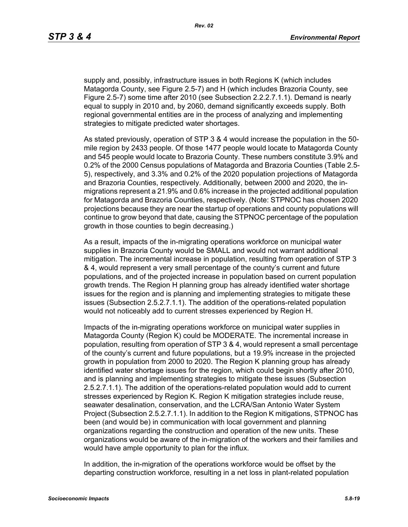supply and, possibly, infrastructure issues in both Regions K (which includes Matagorda County, see Figure 2.5-7) and H (which includes Brazoria County, see Figure 2.5-7) some time after 2010 (see Subsection 2.2.2.7.1.1). Demand is nearly equal to supply in 2010 and, by 2060, demand significantly exceeds supply. Both regional governmental entities are in the process of analyzing and implementing strategies to mitigate predicted water shortages.

As stated previously, operation of STP 3 & 4 would increase the population in the 50 mile region by 2433 people. Of those 1477 people would locate to Matagorda County and 545 people would locate to Brazoria County. These numbers constitute 3.9% and 0.2% of the 2000 Census populations of Matagorda and Brazoria Counties (Table 2.5- 5), respectively, and 3.3% and 0.2% of the 2020 population projections of Matagorda and Brazoria Counties, respectively. Additionally, between 2000 and 2020, the inmigrations represent a 21.9% and 0.6% increase in the projected additional population for Matagorda and Brazoria Counties, respectively. (Note: STPNOC has chosen 2020 projections because they are near the startup of operations and county populations will continue to grow beyond that date, causing the STPNOC percentage of the population growth in those counties to begin decreasing.)

As a result, impacts of the in-migrating operations workforce on municipal water supplies in Brazoria County would be SMALL and would not warrant additional mitigation. The incremental increase in population, resulting from operation of STP 3 & 4, would represent a very small percentage of the county's current and future populations, and of the projected increase in population based on current population growth trends. The Region H planning group has already identified water shortage issues for the region and is planning and implementing strategies to mitigate these issues (Subsection 2.5.2.7.1.1). The addition of the operations-related population would not noticeably add to current stresses experienced by Region H.

Impacts of the in-migrating operations workforce on municipal water supplies in Matagorda County (Region K) could be MODERATE. The incremental increase in population, resulting from operation of STP 3 & 4, would represent a small percentage of the county's current and future populations, but a 19.9% increase in the projected growth in population from 2000 to 2020. The Region K planning group has already identified water shortage issues for the region, which could begin shortly after 2010, and is planning and implementing strategies to mitigate these issues (Subsection 2.5.2.7.1.1). The addition of the operations-related population would add to current stresses experienced by Region K. Region K mitigation strategies include reuse, seawater desalination, conservation, and the LCRA/San Antonio Water System Project (Subsection 2.5.2.7.1.1). In addition to the Region K mitigations, STPNOC has been (and would be) in communication with local government and planning organizations regarding the construction and operation of the new units. These organizations would be aware of the in-migration of the workers and their families and would have ample opportunity to plan for the influx.

In addition, the in-migration of the operations workforce would be offset by the departing construction workforce, resulting in a net loss in plant-related population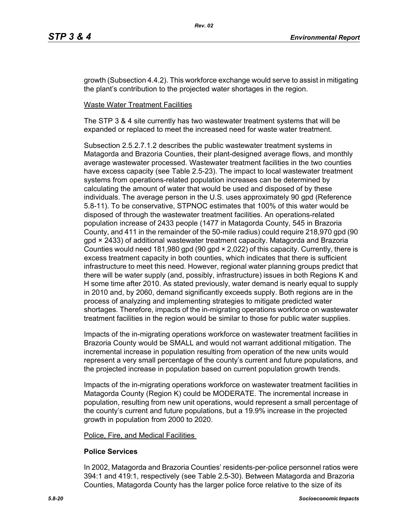growth (Subsection 4.4.2). This workforce exchange would serve to assist in mitigating the plant's contribution to the projected water shortages in the region.

## Waste Water Treatment Facilities

The STP 3 & 4 site currently has two wastewater treatment systems that will be expanded or replaced to meet the increased need for waste water treatment.

Subsection 2.5.2.7.1.2 describes the public wastewater treatment systems in Matagorda and Brazoria Counties, their plant-designed average flows, and monthly average wastewater processed. Wastewater treatment facilities in the two counties have excess capacity (see Table 2.5-23). The impact to local wastewater treatment systems from operations-related population increases can be determined by calculating the amount of water that would be used and disposed of by these individuals. The average person in the U.S. uses approximately 90 gpd (Reference 5.8-11). To be conservative, STPNOC estimates that 100% of this water would be disposed of through the wastewater treatment facilities. An operations-related population increase of 2433 people (1477 in Matagorda County, 545 in Brazoria County, and 411 in the remainder of the 50-mile radius) could require 218,970 gpd (90 gpd × 2433) of additional wastewater treatment capacity. Matagorda and Brazoria Counties would need 181,980 gpd (90 gpd × 2,022) of this capacity. Currently, there is excess treatment capacity in both counties, which indicates that there is sufficient infrastructure to meet this need. However, regional water planning groups predict that there will be water supply (and, possibly, infrastructure) issues in both Regions K and H some time after 2010. As stated previously, water demand is nearly equal to supply in 2010 and, by 2060, demand significantly exceeds supply. Both regions are in the process of analyzing and implementing strategies to mitigate predicted water shortages. Therefore, impacts of the in-migrating operations workforce on wastewater treatment facilities in the region would be similar to those for public water supplies.

Impacts of the in-migrating operations workforce on wastewater treatment facilities in Brazoria County would be SMALL and would not warrant additional mitigation. The incremental increase in population resulting from operation of the new units would represent a very small percentage of the county's current and future populations, and the projected increase in population based on current population growth trends.

Impacts of the in-migrating operations workforce on wastewater treatment facilities in Matagorda County (Region K) could be MODERATE. The incremental increase in population, resulting from new unit operations, would represent a small percentage of the county's current and future populations, but a 19.9% increase in the projected growth in population from 2000 to 2020.

#### Police, Fire, and Medical Facilities

## **Police Services**

In 2002, Matagorda and Brazoria Counties' residents-per-police personnel ratios were 394:1 and 419:1, respectively (see Table 2.5-30). Between Matagorda and Brazoria Counties, Matagorda County has the larger police force relative to the size of its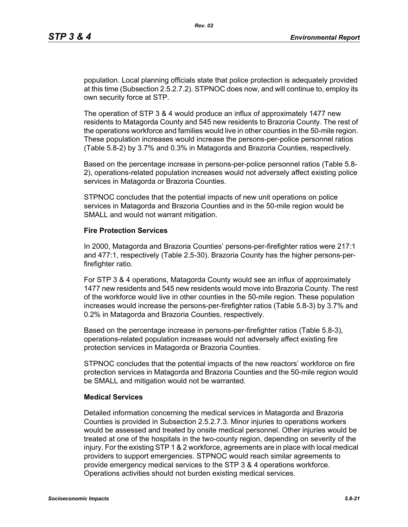population. Local planning officials state that police protection is adequately provided at this time (Subsection 2.5.2.7.2). STPNOC does now, and will continue to, employ its own security force at STP.

The operation of STP 3 & 4 would produce an influx of approximately 1477 new residents to Matagorda County and 545 new residents to Brazoria County. The rest of the operations workforce and families would live in other counties in the 50-mile region. These population increases would increase the persons-per-police personnel ratios (Table 5.8-2) by 3.7% and 0.3% in Matagorda and Brazoria Counties, respectively.

Based on the percentage increase in persons-per-police personnel ratios (Table 5.8- 2), operations-related population increases would not adversely affect existing police services in Matagorda or Brazoria Counties.

STPNOC concludes that the potential impacts of new unit operations on police services in Matagorda and Brazoria Counties and in the 50-mile region would be SMALL and would not warrant mitigation.

#### **Fire Protection Services**

In 2000, Matagorda and Brazoria Counties' persons-per-firefighter ratios were 217:1 and 477:1, respectively (Table 2.5-30). Brazoria County has the higher persons-perfirefighter ratio.

For STP 3 & 4 operations, Matagorda County would see an influx of approximately 1477 new residents and 545 new residents would move into Brazoria County. The rest of the workforce would live in other counties in the 50-mile region. These population increases would increase the persons-per-firefighter ratios (Table 5.8-3) by 3.7% and 0.2% in Matagorda and Brazoria Counties, respectively.

Based on the percentage increase in persons-per-firefighter ratios (Table 5.8-3), operations-related population increases would not adversely affect existing fire protection services in Matagorda or Brazoria Counties.

STPNOC concludes that the potential impacts of the new reactors' workforce on fire protection services in Matagorda and Brazoria Counties and the 50-mile region would be SMALL and mitigation would not be warranted.

### **Medical Services**

Detailed information concerning the medical services in Matagorda and Brazoria Counties is provided in Subsection 2.5.2.7.3. Minor injuries to operations workers would be assessed and treated by onsite medical personnel. Other injuries would be treated at one of the hospitals in the two-county region, depending on severity of the injury. For the existing STP 1 & 2 workforce, agreements are in place with local medical providers to support emergencies. STPNOC would reach similar agreements to provide emergency medical services to the STP 3 & 4 operations workforce. Operations activities should not burden existing medical services.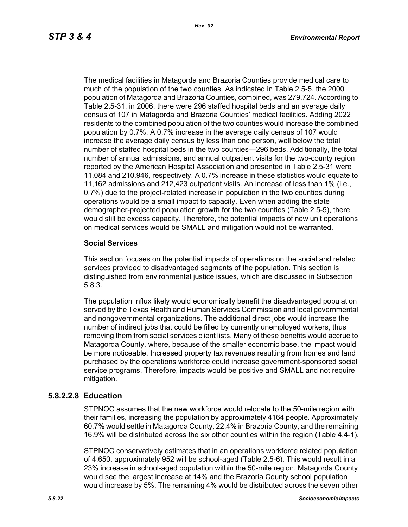The medical facilities in Matagorda and Brazoria Counties provide medical care to much of the population of the two counties. As indicated in Table 2.5-5, the 2000 population of Matagorda and Brazoria Counties, combined, was 279,724. According to Table 2.5-31, in 2006, there were 296 staffed hospital beds and an average daily census of 107 in Matagorda and Brazoria Counties' medical facilities. Adding 2022 residents to the combined population of the two counties would increase the combined population by 0.7%. A 0.7% increase in the average daily census of 107 would increase the average daily census by less than one person, well below the total number of staffed hospital beds in the two counties—296 beds. Additionally, the total number of annual admissions, and annual outpatient visits for the two-county region reported by the American Hospital Association and presented in Table 2,5-31 were 11,084 and 210,946, respectively. A 0.7% increase in these statistics would equate to 11,162 admissions and 212,423 outpatient visits. An increase of less than 1% (i.e., 0.7%) due to the project-related increase in population in the two counties during operations would be a small impact to capacity. Even when adding the state demographer-projected population growth for the two counties (Table 2.5-5), there would still be excess capacity. Therefore, the potential impacts of new unit operations on medical services would be SMALL and mitigation would not be warranted.

## **Social Services**

This section focuses on the potential impacts of operations on the social and related services provided to disadvantaged segments of the population. This section is distinguished from environmental justice issues, which are discussed in Subsection 5.8.3.

The population influx likely would economically benefit the disadvantaged population served by the Texas Health and Human Services Commission and local governmental and nongovernmental organizations. The additional direct jobs would increase the number of indirect jobs that could be filled by currently unemployed workers, thus removing them from social services client lists. Many of these benefits would accrue to Matagorda County, where, because of the smaller economic base, the impact would be more noticeable. Increased property tax revenues resulting from homes and land purchased by the operations workforce could increase government-sponsored social service programs. Therefore, impacts would be positive and SMALL and not require mitigation.

## **5.8.2.2.8 Education**

STPNOC assumes that the new workforce would relocate to the 50-mile region with their families, increasing the population by approximately 4164 people. Approximately 60.7% would settle in Matagorda County, 22.4% in Brazoria County, and the remaining 16.9% will be distributed across the six other counties within the region (Table 4.4-1).

STPNOC conservatively estimates that in an operations workforce related population of 4,650, approximately 952 will be school-aged (Table 2.5-6). This would result in a 23% increase in school-aged population within the 50-mile region. Matagorda County would see the largest increase at 14% and the Brazoria County school population would increase by 5%. The remaining 4% would be distributed across the seven other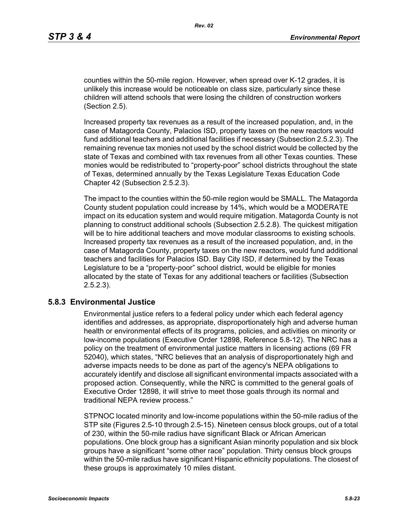counties within the 50-mile region. However, when spread over K-12 grades, it is unlikely this increase would be noticeable on class size, particularly since these children will attend schools that were losing the children of construction workers (Section 2.5).

Increased property tax revenues as a result of the increased population, and, in the case of Matagorda County, Palacios ISD, property taxes on the new reactors would fund additional teachers and additional facilities if necessary (Subsection 2.5.2.3). The remaining revenue tax monies not used by the school district would be collected by the state of Texas and combined with tax revenues from all other Texas counties. These monies would be redistributed to "property-poor" school districts throughout the state of Texas, determined annually by the Texas Legislature Texas Education Code Chapter 42 (Subsection 2.5.2.3).

The impact to the counties within the 50-mile region would be SMALL. The Matagorda County student population could increase by 14%, which would be a MODERATE impact on its education system and would require mitigation. Matagorda County is not planning to construct additional schools (Subsection 2.5.2.8). The quickest mitigation will be to hire additional teachers and move modular classrooms to existing schools. Increased property tax revenues as a result of the increased population, and, in the case of Matagorda County, property taxes on the new reactors, would fund additional teachers and facilities for Palacios ISD. Bay City ISD, if determined by the Texas Legislature to be a "property-poor" school district, would be eligible for monies allocated by the state of Texas for any additional teachers or facilities (Subsection 2.5.2.3).

## **5.8.3 Environmental Justice**

Environmental justice refers to a federal policy under which each federal agency identifies and addresses, as appropriate, disproportionately high and adverse human health or environmental effects of its programs, policies, and activities on minority or low-income populations (Executive Order 12898, Reference 5.8-12). The NRC has a policy on the treatment of environmental justice matters in licensing actions (69 FR 52040), which states, "NRC believes that an analysis of disproportionately high and adverse impacts needs to be done as part of the agency's NEPA obligations to accurately identify and disclose all significant environmental impacts associated with a proposed action. Consequently, while the NRC is committed to the general goals of Executive Order 12898, it will strive to meet those goals through its normal and traditional NEPA review process."

STPNOC located minority and low-income populations within the 50-mile radius of the STP site (Figures 2.5-10 through 2.5-15). Nineteen census block groups, out of a total of 230, within the 50-mile radius have significant Black or African American populations. One block group has a significant Asian minority population and six block groups have a significant "some other race" population. Thirty census block groups within the 50-mile radius have significant Hispanic ethnicity populations. The closest of these groups is approximately 10 miles distant.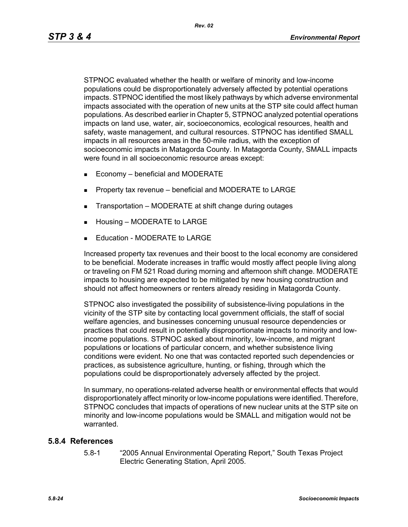STPNOC evaluated whether the health or welfare of minority and low-income populations could be disproportionately adversely affected by potential operations impacts. STPNOC identified the most likely pathways by which adverse environmental impacts associated with the operation of new units at the STP site could affect human populations. As described earlier in Chapter 5, STPNOC analyzed potential operations impacts on land use, water, air, socioeconomics, ecological resources, health and safety, waste management, and cultural resources. STPNOC has identified SMALL impacts in all resources areas in the 50-mile radius, with the exception of socioeconomic impacts in Matagorda County. In Matagorda County, SMALL impacts were found in all socioeconomic resource areas except:

- $\blacksquare$  Economy beneficial and MODERATE
- **Property tax revenue beneficial and MODERATE to LARGE**
- **Transportation MODERATE at shift change during outages**
- Housing MODERATE to LARGE
- Education MODERATE to LARGE

Increased property tax revenues and their boost to the local economy are considered to be beneficial. Moderate increases in traffic would mostly affect people living along or traveling on FM 521 Road during morning and afternoon shift change. MODERATE impacts to housing are expected to be mitigated by new housing construction and should not affect homeowners or renters already residing in Matagorda County.

STPNOC also investigated the possibility of subsistence-living populations in the vicinity of the STP site by contacting local government officials, the staff of social welfare agencies, and businesses concerning unusual resource dependencies or practices that could result in potentially disproportionate impacts to minority and lowincome populations. STPNOC asked about minority, low-income, and migrant populations or locations of particular concern, and whether subsistence living conditions were evident. No one that was contacted reported such dependencies or practices, as subsistence agriculture, hunting, or fishing, through which the populations could be disproportionately adversely affected by the project.

In summary, no operations-related adverse health or environmental effects that would disproportionately affect minority or low-income populations were identified. Therefore, STPNOC concludes that impacts of operations of new nuclear units at the STP site on minority and low-income populations would be SMALL and mitigation would not be warranted.

#### **5.8.4 References**

5.8-1 "2005 Annual Environmental Operating Report," South Texas Project Electric Generating Station, April 2005.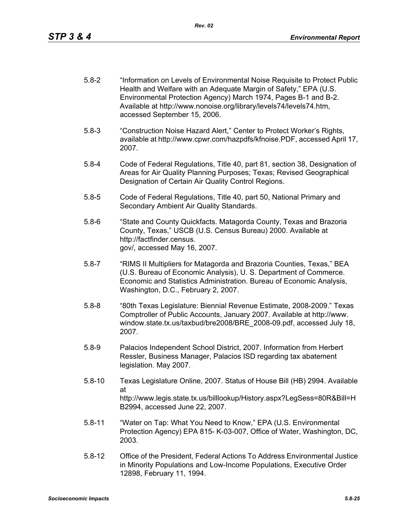- 5.8-2 "Information on Levels of Environmental Noise Requisite to Protect Public Health and Welfare with an Adequate Margin of Safety," EPA (U.S. Environmental Protection Agency) March 1974, Pages B-1 and B-2. Available at http://www.nonoise.org/library/levels74/levels74.htm, accessed September 15, 2006.
- 5.8-3 "Construction Noise Hazard Alert," Center to Protect Worker's Rights, available at http://www.cpwr.com/hazpdfs/kfnoise.PDF, accessed April 17, 2007.
- 5.8-4 Code of Federal Regulations, Title 40, part 81, section 38, Designation of Areas for Air Quality Planning Purposes; Texas; Revised Geographical Designation of Certain Air Quality Control Regions.
- 5.8-5 Code of Federal Regulations, Title 40, part 50, National Primary and Secondary Ambient Air Quality Standards.
- 5.8-6 "State and County Quickfacts. Matagorda County, Texas and Brazoria County, Texas," USCB (U.S. Census Bureau) 2000. Available at http://factfinder.census. gov/, accessed May 16, 2007.
- 5.8-7 "RIMS II Multipliers for Matagorda and Brazoria Counties, Texas," BEA (U.S. Bureau of Economic Analysis), U. S. Department of Commerce. Economic and Statistics Administration. Bureau of Economic Analysis, Washington, D.C., February 2, 2007.
- 5.8-8 "80th Texas Legislature: Biennial Revenue Estimate, 2008-2009." Texas Comptroller of Public Accounts, January 2007. Available at http://www. window.state.tx.us/taxbud/bre2008/BRE\_2008-09.pdf, accessed July 18, 2007.
- 5.8-9 Palacios Independent School District, 2007. Information from Herbert Ressler, Business Manager, Palacios ISD regarding tax abatement legislation. May 2007.
- 5.8-10 Texas Legislature Online, 2007. Status of House Bill (HB) 2994. Available at http://www.legis.state.tx.us/billlookup/History.aspx?LegSess=80R&Bill=H B2994, accessed June 22, 2007.
- 5.8-11 "Water on Tap: What You Need to Know," EPA (U.S. Environmental Protection Agency) EPA 815- K-03-007, Office of Water, Washington, DC, 2003.
- 5.8-12 Office of the President, Federal Actions To Address Environmental Justice in Minority Populations and Low-Income Populations, Executive Order 12898, February 11, 1994.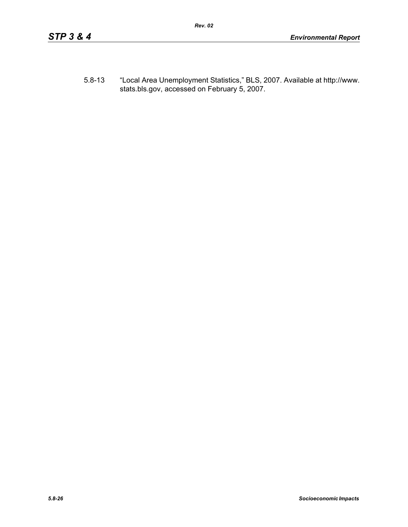5.8-13 "Local Area Unemployment Statistics," BLS, 2007. Available at http://www. stats.bls.gov, accessed on February 5, 2007.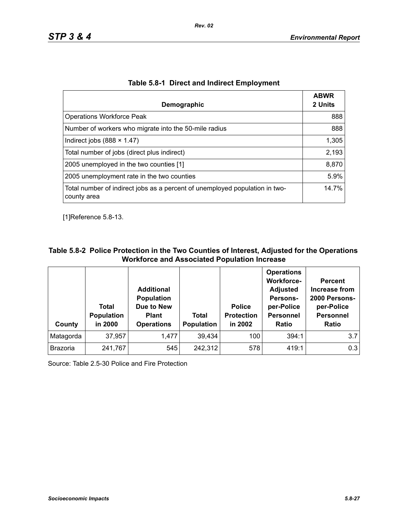| Demographic                                                                                | <b>ABWR</b><br>2 Units |
|--------------------------------------------------------------------------------------------|------------------------|
| <b>Operations Workforce Peak</b>                                                           | 888                    |
| Number of workers who migrate into the 50-mile radius                                      | 888                    |
| Indirect jobs $(888 \times 1.47)$                                                          | 1,305                  |
| Total number of jobs (direct plus indirect)                                                | 2,193                  |
| 2005 unemployed in the two counties [1]                                                    | 8,870                  |
| 2005 unemployment rate in the two counties                                                 | 5.9%                   |
| Total number of indirect jobs as a percent of unemployed population in two-<br>county area | 14.7%                  |

| Table 5.8-1 Direct and Indirect Employment |  |  |  |  |
|--------------------------------------------|--|--|--|--|
|--------------------------------------------|--|--|--|--|

[1]Reference 5.8-13.

## **Table 5.8-2 Police Protection in the Two Counties of Interest, Adjusted for the Operations Workforce and Associated Population Increase**

| County          | Total<br><b>Population</b><br>in 2000 | <b>Additional</b><br><b>Population</b><br>Due to New<br><b>Plant</b><br><b>Operations</b> | Total<br><b>Population</b> | <b>Police</b><br><b>Protection</b><br>in 2002 | <b>Operations</b><br><b>Workforce-</b><br><b>Adjusted</b><br>Persons-<br>per-Police<br><b>Personnel</b><br><b>Ratio</b> | <b>Percent</b><br>Increase from<br>2000 Persons-<br>per-Police<br><b>Personnel</b><br><b>Ratio</b> |
|-----------------|---------------------------------------|-------------------------------------------------------------------------------------------|----------------------------|-----------------------------------------------|-------------------------------------------------------------------------------------------------------------------------|----------------------------------------------------------------------------------------------------|
| Matagorda       | 37,957                                | 1,477                                                                                     | 39,434                     | 100                                           | 394:1                                                                                                                   | 3.7                                                                                                |
| <b>Brazoria</b> | 241,767                               | 545                                                                                       | 242,312                    | 578                                           | 419:1                                                                                                                   | 0.3                                                                                                |

Source: Table 2.5-30 Police and Fire Protection